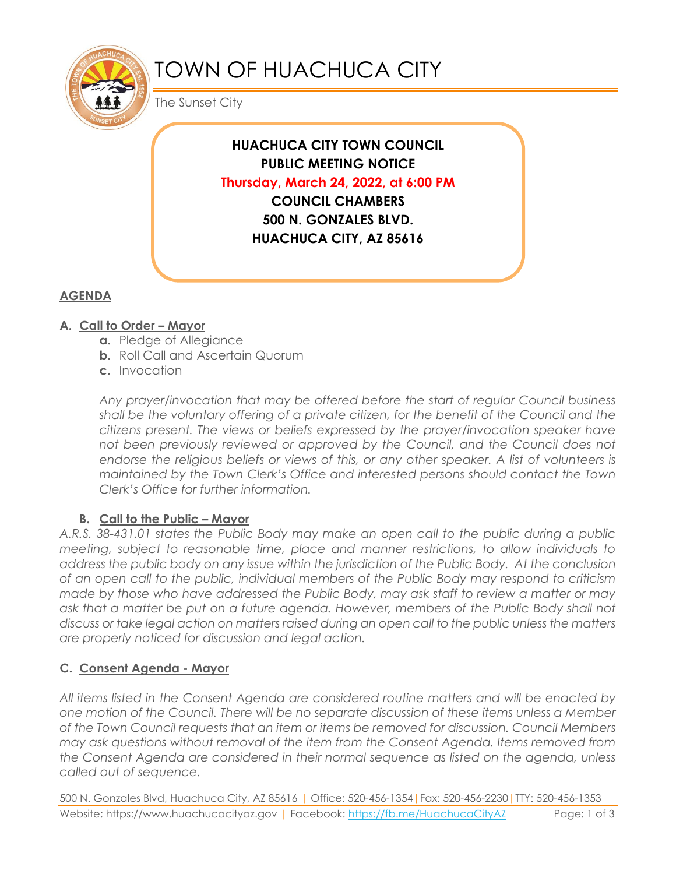

# TOWN OF HUACHUCA CITY

The Sunset City

**HUACHUCA CITY TOWN COUNCIL PUBLIC MEETING NOTICE Thursday, March 24, 2022, at 6:00 PM COUNCIL CHAMBERS 500 N. GONZALES BLVD. HUACHUCA CITY, AZ 85616**

## **AGENDA**

## **A. Call to Order – Mayor**

- **a.** Pledge of Allegiance
- **b.** Roll Call and Ascertain Quorum
- **c.** Invocation

*Any prayer/invocation that may be offered before the start of regular Council business shall be the voluntary offering of a private citizen, for the benefit of the Council and the citizens present. The views or beliefs expressed by the prayer/invocation speaker have*  not been previously reviewed or approved by the Council, and the Council does not endorse the religious beliefs or views of this, or any other speaker. A list of volunteers is *maintained by the Town Clerk's Office and interested persons should contact the Town Clerk's Office for further information.*

## **B.** Call to the Public – Mayor

*A.R.S. 38-431.01 states the Public Body may make an open call to the public during a public meeting, subject to reasonable time, place and manner restrictions, to allow individuals to address the public body on any issue within the jurisdiction of the Public Body. At the conclusion of an open call to the public, individual members of the Public Body may respond to criticism made by those who have addressed the Public Body, may ask staff to review a matter or may ask that a matter be put on a future agenda. However, members of the Public Body shall not discuss or take legal action on matters raised during an open call to the public unless the matters are properly noticed for discussion and legal action.*

## **C. Consent Agenda - Mayor**

*All items listed in the Consent Agenda are considered routine matters and will be enacted by one motion of the Council. There will be no separate discussion of these items unless a Member of the Town Council requests that an item or items be removed for discussion. Council Members may ask questions without removal of the item from the Consent Agenda. Items removed from the Consent Agenda are considered in their normal sequence as listed on the agenda, unless called out of sequence.*

500 N. Gonzales Blvd, Huachuca City, AZ 85616 | Office: 520-456-1354|Fax: 520-456-2230|TTY: 520-456-1353 Website: https://www.huachucacityaz.gov | Facebook:<https://fb.me/HuachucaCityAZ> Page: 1 of 3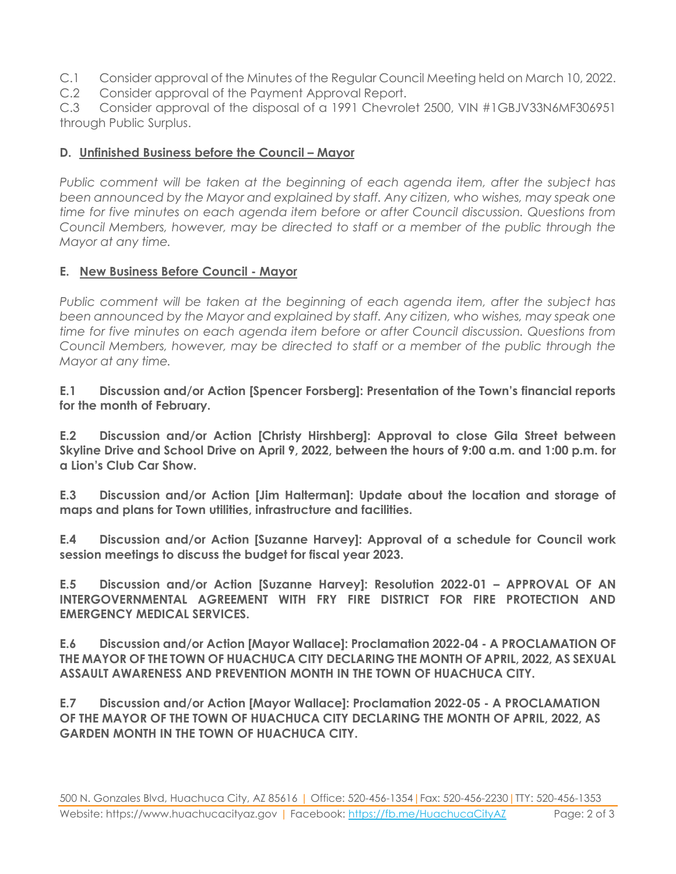- C.1 Consider approval of the Minutes of the Regular Council Meeting held on March 10, 2022.
- C.2 Consider approval of the Payment Approval Report.

C.3 Consider approval of the disposal of a 1991 Chevrolet 2500, VIN #1GBJV33N6MF306951 through Public Surplus.

#### **D. Unfinished Business before the Council – Mayor**

*Public comment will be taken at the beginning of each agenda item, after the subject has been announced by the Mayor and explained by staff. Any citizen, who wishes, may speak one time for five minutes on each agenda item before or after Council discussion. Questions from Council Members, however, may be directed to staff or a member of the public through the Mayor at any time.*

#### **E. New Business Before Council - Mayor**

*Public comment will be taken at the beginning of each agenda item, after the subject has been announced by the Mayor and explained by staff. Any citizen, who wishes, may speak one time for five minutes on each agenda item before or after Council discussion. Questions from Council Members, however, may be directed to staff or a member of the public through the Mayor at any time.* 

**E.1 Discussion and/or Action [Spencer Forsberg]: Presentation of the Town's financial reports for the month of February.**

**E.2 Discussion and/or Action [Christy Hirshberg]: Approval to close Gila Street between Skyline Drive and School Drive on April 9, 2022, between the hours of 9:00 a.m. and 1:00 p.m. for a Lion's Club Car Show.**

**E.3 Discussion and/or Action [Jim Halterman]: Update about the location and storage of maps and plans for Town utilities, infrastructure and facilities.** 

**E.4 Discussion and/or Action [Suzanne Harvey]: Approval of a schedule for Council work session meetings to discuss the budget for fiscal year 2023.**

**E.5 Discussion and/or Action [Suzanne Harvey]: Resolution 2022-01 – APPROVAL OF AN INTERGOVERNMENTAL AGREEMENT WITH FRY FIRE DISTRICT FOR FIRE PROTECTION AND EMERGENCY MEDICAL SERVICES.**

**E.6 Discussion and/or Action [Mayor Wallace]: Proclamation 2022-04 - A PROCLAMATION OF THE MAYOR OF THE TOWN OF HUACHUCA CITY DECLARING THE MONTH OF APRIL, 2022, AS SEXUAL ASSAULT AWARENESS AND PREVENTION MONTH IN THE TOWN OF HUACHUCA CITY.** 

**E.7 Discussion and/or Action [Mayor Wallace]: Proclamation 2022-05 - A PROCLAMATION OF THE MAYOR OF THE TOWN OF HUACHUCA CITY DECLARING THE MONTH OF APRIL, 2022, AS GARDEN MONTH IN THE TOWN OF HUACHUCA CITY.**